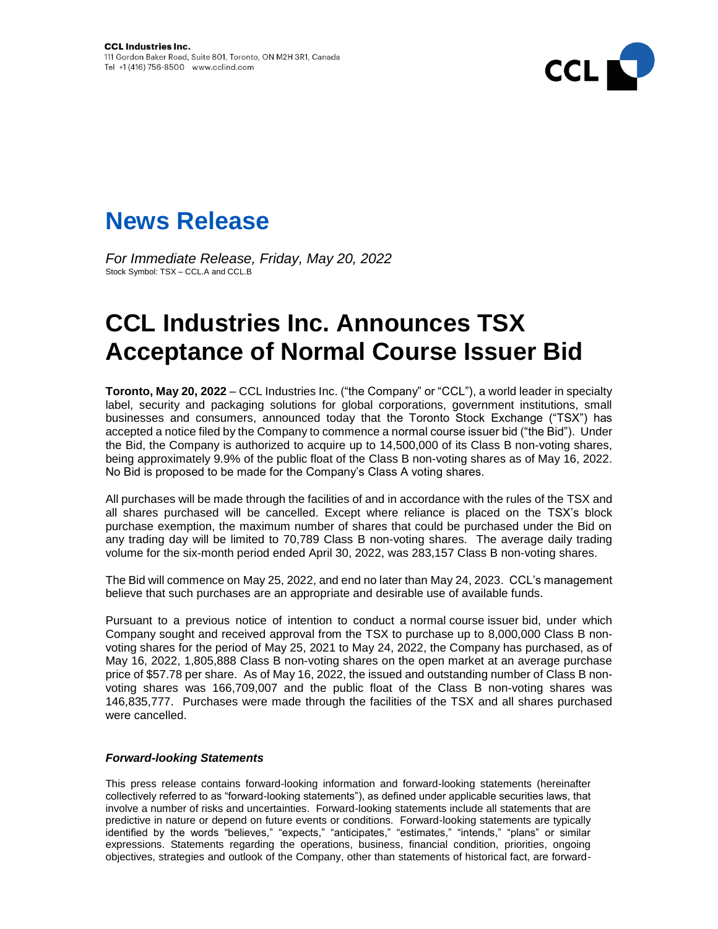



*For Immediate Release, Friday, May 20, 2022* Stock Symbol: TSX – CCL.A and CCL.B

## **CCL Industries Inc. Announces TSX Acceptance of Normal Course Issuer Bid**

**Toronto, May 20, 2022** – CCL Industries Inc. ("the Company" or "CCL"), a world leader in specialty label, security and packaging solutions for global corporations, government institutions, small businesses and consumers, announced today that the Toronto Stock Exchange ("TSX") has accepted a notice filed by the Company to commence a normal course issuer bid ("the Bid"). Under the Bid, the Company is authorized to acquire up to 14,500,000 of its Class B non-voting shares, being approximately 9.9% of the public float of the Class B non-voting shares as of May 16, 2022. No Bid is proposed to be made for the Company's Class A voting shares.

All purchases will be made through the facilities of and in accordance with the rules of the TSX and all shares purchased will be cancelled. Except where reliance is placed on the TSX's block purchase exemption, the maximum number of shares that could be purchased under the Bid on any trading day will be limited to 70,789 Class B non-voting shares. The average daily trading volume for the six-month period ended April 30, 2022, was 283,157 Class B non-voting shares.

The Bid will commence on May 25, 2022, and end no later than May 24, 2023. CCL's management believe that such purchases are an appropriate and desirable use of available funds.

Pursuant to a previous notice of intention to conduct a normal course issuer bid, under which Company sought and received approval from the TSX to purchase up to 8,000,000 Class B nonvoting shares for the period of May 25, 2021 to May 24, 2022, the Company has purchased, as of May 16, 2022, 1,805,888 Class B non-voting shares on the open market at an average purchase price of \$57.78 per share. As of May 16, 2022, the issued and outstanding number of Class B nonvoting shares was 166,709,007 and the public float of the Class B non-voting shares was 146,835,777. Purchases were made through the facilities of the TSX and all shares purchased were cancelled.

## *Forward-looking Statements*

This press release contains forward-looking information and forward-looking statements (hereinafter collectively referred to as "forward-looking statements"), as defined under applicable securities laws, that involve a number of risks and uncertainties. Forward-looking statements include all statements that are predictive in nature or depend on future events or conditions. Forward-looking statements are typically identified by the words "believes," "expects," "anticipates," "estimates," "intends," "plans" or similar expressions. Statements regarding the operations, business, financial condition, priorities, ongoing objectives, strategies and outlook of the Company, other than statements of historical fact, are forward-